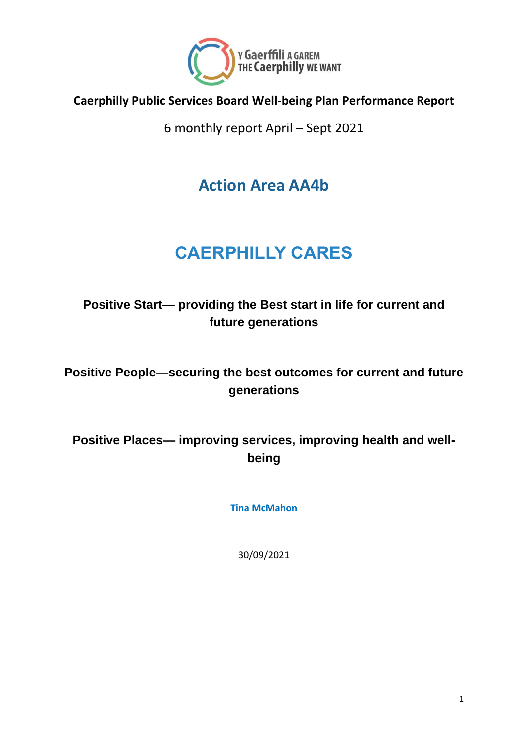

#### **Caerphilly Public Services Board Well-being Plan Performance Report**

6 monthly report April – Sept 2021

**Action Area AA4b**

# **CAERPHILLY CARES**

#### **Positive Start— providing the Best start in life for current and future generations**

**Positive People—securing the best outcomes for current and future generations**

**Positive Places— improving services, improving health and wellbeing**

**Tina McMahon**

30/09/2021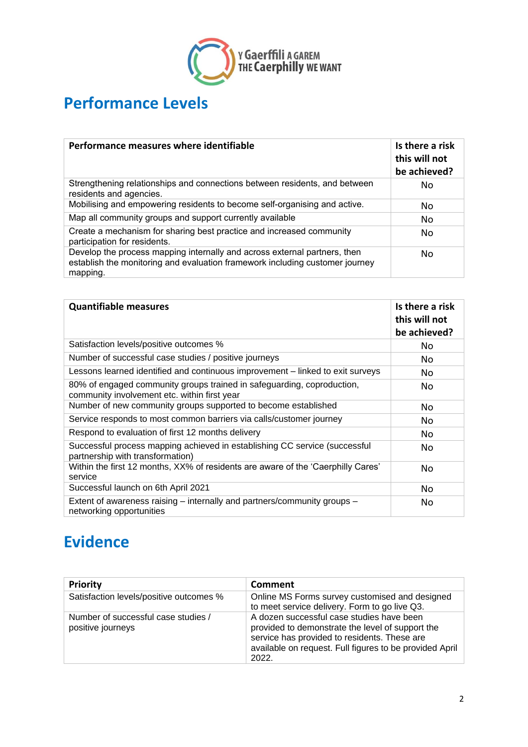

#### **Performance Levels**

| Performance measures where identifiable                                                                                                                               | Is there a risk<br>this will not<br>be achieved? |
|-----------------------------------------------------------------------------------------------------------------------------------------------------------------------|--------------------------------------------------|
| Strengthening relationships and connections between residents, and between<br>residents and agencies.                                                                 | No.                                              |
| Mobilising and empowering residents to become self-organising and active.                                                                                             | No.                                              |
| Map all community groups and support currently available                                                                                                              | No.                                              |
| Create a mechanism for sharing best practice and increased community<br>participation for residents.                                                                  | No.                                              |
| Develop the process mapping internally and across external partners, then<br>establish the monitoring and evaluation framework including customer journey<br>mapping. | No.                                              |

| <b>Quantifiable measures</b>                                                                                           | Is there a risk<br>this will not<br>be achieved? |
|------------------------------------------------------------------------------------------------------------------------|--------------------------------------------------|
| Satisfaction levels/positive outcomes %                                                                                | No.                                              |
| Number of successful case studies / positive journeys                                                                  | No.                                              |
| Lessons learned identified and continuous improvement – linked to exit surveys                                         | No.                                              |
| 80% of engaged community groups trained in safeguarding, coproduction,<br>community involvement etc. within first year | No                                               |
| Number of new community groups supported to become established                                                         | No                                               |
| Service responds to most common barriers via calls/customer journey                                                    | No                                               |
| Respond to evaluation of first 12 months delivery                                                                      | No                                               |
| Successful process mapping achieved in establishing CC service (successful<br>partnership with transformation)         | No                                               |
| Within the first 12 months, XX% of residents are aware of the 'Caerphilly Cares'<br>service                            | No                                               |
| Successful launch on 6th April 2021                                                                                    | No                                               |
| Extent of awareness raising – internally and partners/community groups –<br>networking opportunities                   | No                                               |

#### **Evidence**

| <b>Priority</b>                                          | Comment                                                                                                                                                                                                           |
|----------------------------------------------------------|-------------------------------------------------------------------------------------------------------------------------------------------------------------------------------------------------------------------|
| Satisfaction levels/positive outcomes %                  | Online MS Forms survey customised and designed<br>to meet service delivery. Form to go live Q3.                                                                                                                   |
| Number of successful case studies /<br>positive journeys | A dozen successful case studies have been<br>provided to demonstrate the level of support the<br>service has provided to residents. These are<br>available on request. Full figures to be provided April<br>2022. |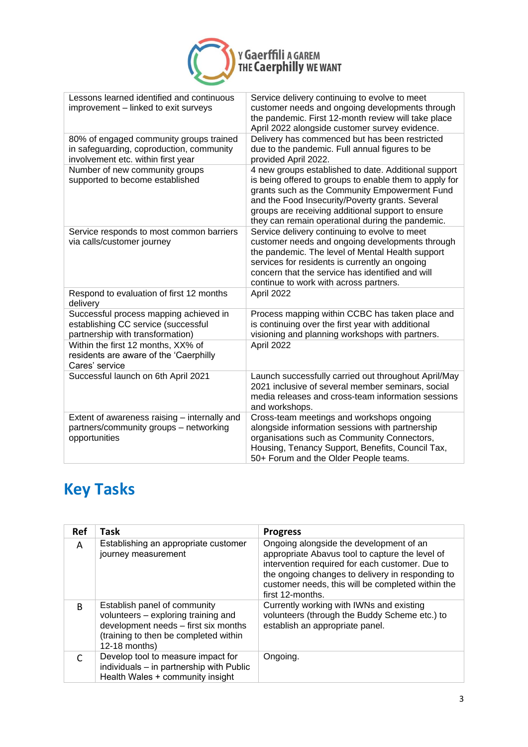

| Lessons learned identified and continuous<br>improvement - linked to exit surveys                                         | Service delivery continuing to evolve to meet<br>customer needs and ongoing developments through<br>the pandemic. First 12-month review will take place<br>April 2022 alongside customer survey evidence.                                                                                                                   |
|---------------------------------------------------------------------------------------------------------------------------|-----------------------------------------------------------------------------------------------------------------------------------------------------------------------------------------------------------------------------------------------------------------------------------------------------------------------------|
| 80% of engaged community groups trained<br>in safeguarding, coproduction, community<br>involvement etc. within first year | Delivery has commenced but has been restricted<br>due to the pandemic. Full annual figures to be<br>provided April 2022.                                                                                                                                                                                                    |
| Number of new community groups<br>supported to become established                                                         | 4 new groups established to date. Additional support<br>is being offered to groups to enable them to apply for<br>grants such as the Community Empowerment Fund<br>and the Food Insecurity/Poverty grants. Several<br>groups are receiving additional support to ensure<br>they can remain operational during the pandemic. |
| Service responds to most common barriers<br>via calls/customer journey                                                    | Service delivery continuing to evolve to meet<br>customer needs and ongoing developments through<br>the pandemic. The level of Mental Health support<br>services for residents is currently an ongoing<br>concern that the service has identified and will<br>continue to work with across partners.                        |
| Respond to evaluation of first 12 months<br>delivery                                                                      | April 2022                                                                                                                                                                                                                                                                                                                  |
| Successful process mapping achieved in<br>establishing CC service (successful<br>partnership with transformation)         | Process mapping within CCBC has taken place and<br>is continuing over the first year with additional<br>visioning and planning workshops with partners.                                                                                                                                                                     |
| Within the first 12 months, XX% of<br>residents are aware of the 'Caerphilly<br>Cares' service                            | April 2022                                                                                                                                                                                                                                                                                                                  |
| Successful launch on 6th April 2021                                                                                       | Launch successfully carried out throughout April/May<br>2021 inclusive of several member seminars, social<br>media releases and cross-team information sessions<br>and workshops.                                                                                                                                           |
| Extent of awareness raising - internally and<br>partners/community groups - networking<br>opportunities                   | Cross-team meetings and workshops ongoing<br>alongside information sessions with partnership<br>organisations such as Community Connectors,<br>Housing, Tenancy Support, Benefits, Council Tax,<br>50+ Forum and the Older People teams.                                                                                    |

## **Key Tasks**

| <b>Ref</b> | Task                                                                                                                                                                  | <b>Progress</b>                                                                                                                                                                                                                                                            |
|------------|-----------------------------------------------------------------------------------------------------------------------------------------------------------------------|----------------------------------------------------------------------------------------------------------------------------------------------------------------------------------------------------------------------------------------------------------------------------|
| A          | Establishing an appropriate customer<br>journey measurement                                                                                                           | Ongoing alongside the development of an<br>appropriate Abavus tool to capture the level of<br>intervention required for each customer. Due to<br>the ongoing changes to delivery in responding to<br>customer needs, this will be completed within the<br>first 12-months. |
| B          | Establish panel of community<br>volunteers - exploring training and<br>development needs - first six months<br>(training to then be completed within<br>12-18 months) | Currently working with IWNs and existing<br>volunteers (through the Buddy Scheme etc.) to<br>establish an appropriate panel.                                                                                                                                               |
|            | Develop tool to measure impact for<br>individuals - in partnership with Public<br>Health Wales + community insight                                                    | Ongoing.                                                                                                                                                                                                                                                                   |